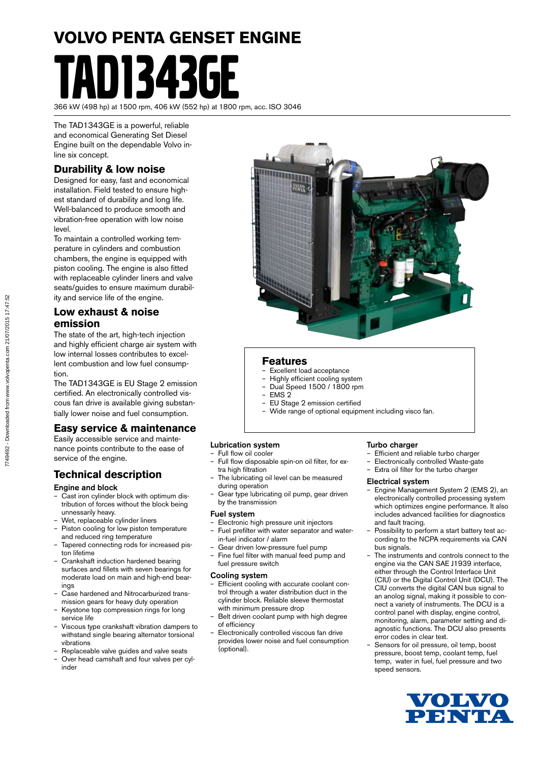# **VOLVO PENTA GENSET ENGINE** 11343GF

366 kW (498 hp) at 1500 rpm, 406 kW (552 hp) at 1800 rpm, acc. ISO 3046

The TAD1343GE is a powerful, reliable and economical Generating Set Diesel Engine built on the dependable Volvo inline six concept.

#### **Durability & low noise**

Designed for easy, fast and economical installation. Field tested to ensure highest standard of durability and long life. Well-balanced to produce smooth and vibration-free operation with low noise level.

To maintain a controlled working temperature in cylinders and combustion chambers, the engine is equipped with piston cooling. The engine is also fitted with replaceable cylinder liners and valve seats/guides to ensure maximum durability and service life of the engine.

#### **Low exhaust & noise emission**

The state of the art, high-tech injection and highly efficient charge air system with low internal losses contributes to excellent combustion and low fuel consumption.

The TAD1343GE is EU Stage 2 emission certified. An electronically controlled viscous fan drive is available giving substantially lower noise and fuel consumption.

#### **Easy service & maintenance**

Easily accessible service and maintenance points contribute to the ease of service of the engine.

#### **Technical description**

#### Engine and block

- Cast iron cylinder block with optimum distribution of forces without the block being unnessarily heavy.
- Wet, replaceable cylinder liners
- Piston cooling for low piston temperature and reduced ring temperature
- Tapered connecting rods for increased piston lifetime
- Crankshaft induction hardened bearing surfaces and fillets with seven bearings for moderate load on main and high-end bearings
- Case hardened and Nitrocarburized transmission gears for heavy duty operation
- Keystone top compression rings for long service life
- Viscous type crankshaft vibration dampers to withstand single bearing alternator torsional vibrations
- Replaceable valve guides and valve seats
- Over head camshaft and four valves per cylinder



#### **Features**

- Excellent load acceptance
- Highly efficient cooling system – Dual Speed 1500 / 1800 rpm
- EMS 2
- EU Stage 2 emission certified
- Wide range of optional equipment including visco fan.

#### Lubrication system

- Full flow oil cooler
- Full flow disposable spin-on oil filter, for extra high filtration
- The lubricating oil level can be measured during operation
- Gear type lubricating oil pump, gear driven by the transmission

#### Fuel system

- Electronic high pressure unit injectors – Fuel prefilter with water separator and water-
- in-fuel indicator / alarm
- Gear driven low-pressure fuel pump
- Fine fuel filter with manual feed pump and fuel pressure switch

#### Cooling system

- Efficient cooling with accurate coolant control through a water distribution duct in the cylinder block. Reliable sleeve thermostat with minimum pressure drop
- Belt driven coolant pump with high degree of efficiency
- Electronically controlled viscous fan drive provides lower noise and fuel consumption (optional).

#### Turbo charger

- Efficient and reliable turbo charger
- Electronically controlled Waste-gate
- Extra oil filter for the turbo charger

#### Electrical system

- Engine Management System 2 (EMS 2), an electronically controlled processing system which optimizes engine performance. It also includes advanced facilities for diagnostics and fault tracing.
- Possibility to perform a start battery test according to the NCPA requirements via CAN bus signals.
- The instruments and controls connect to the engine via the CAN SAE J1939 interface, either through the Control Interface Unit (CIU) or the Digital Control Unit (DCU). The CIU converts the digital CAN bus signal to an anolog signal, making it possible to connect a variety of instruments. The DCU is a control panel with display, engine control, monitoring, alarm, parameter setting and diagnostic functions. The DCU also presents error codes in clear text.
- Sensors for oil pressure, oil temp, boost pressure, boost temp, coolant temp, fuel temp, water in fuel, fuel pressure and two speed sensors.